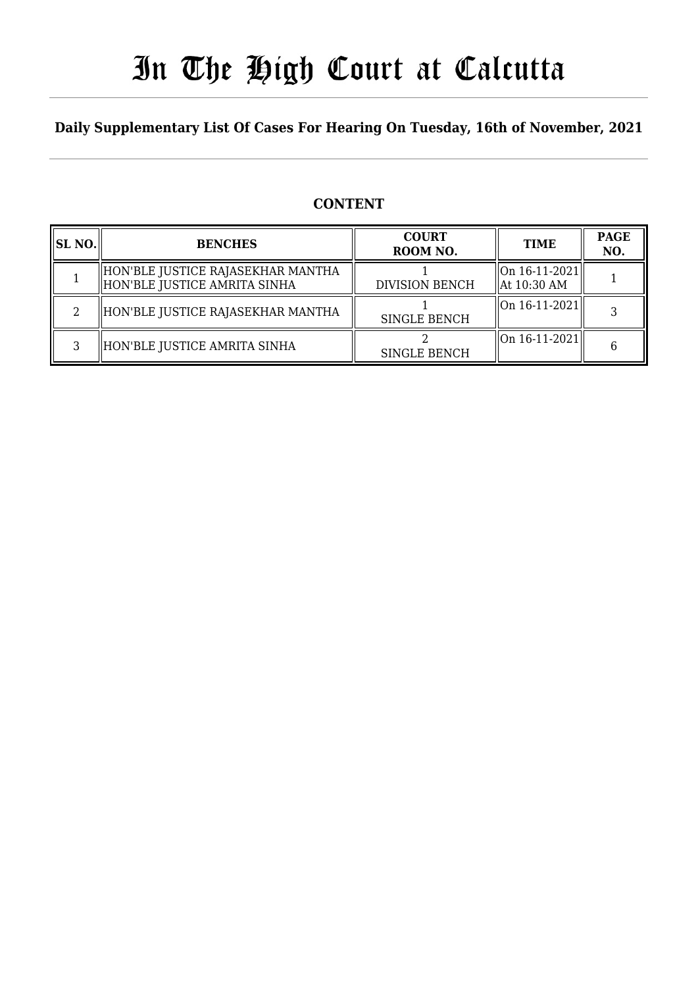# In The High Court at Calcutta

### **Daily Supplementary List Of Cases For Hearing On Tuesday, 16th of November, 2021**

### **CONTENT**

| <b>SL NO.</b> | <b>BENCHES</b>                                                      | <b>COURT</b><br>ROOM NO. | <b>TIME</b>                               | <b>PAGE</b><br>NO. |
|---------------|---------------------------------------------------------------------|--------------------------|-------------------------------------------|--------------------|
|               | HON'BLE JUSTICE RAJASEKHAR MANTHA<br>  HON'BLE JUSTICE AMRITA SINHA | <b>DIVISION BENCH</b>    | On 16-11-2021 <br>$\parallel$ At 10:30 AM |                    |
|               | HON'BLE JUSTICE RAJASEKHAR MANTHA                                   | <b>SINGLE BENCH</b>      | $\left\vert 0n16-11-2021\right\vert$      |                    |
|               | HON'BLE JUSTICE AMRITA SINHA                                        | <b>SINGLE BENCH</b>      | $\left\vert 0n16-11-2021\right\vert$      |                    |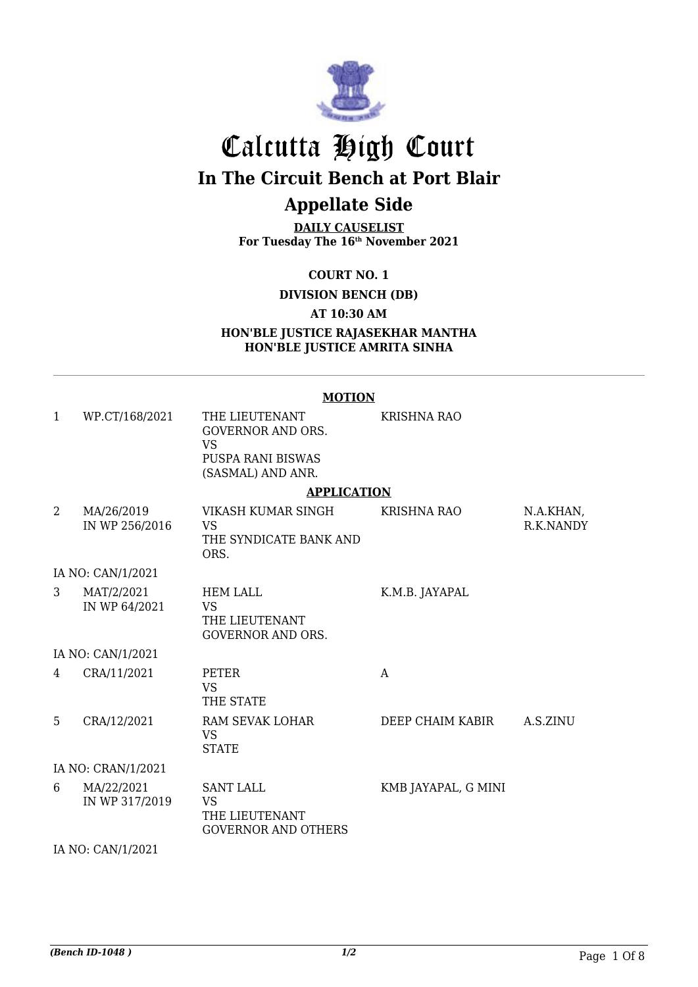

# Calcutta High Court **In The Circuit Bench at Port Blair Appellate Side**

**DAILY CAUSELIST For Tuesday The 16th November 2021**

**COURT NO. 1**

**DIVISION BENCH (DB)**

**AT 10:30 AM**

**HON'BLE JUSTICE RAJASEKHAR MANTHA HON'BLE JUSTICE AMRITA SINHA**

#### **MOTION** 1 WP.CT/168/2021 THE LIEUTENANT GOVERNOR AND ORS. VS PUSPA RANI BISWAS (SASMAL) AND ANR. KRISHNA RAO **APPLICATION** 2 MA/26/2019 IN WP 256/2016 VIKASH KUMAR SINGH VS THE SYNDICATE BANK AND ORS. KRISHNA RAO N.A.KHAN, R.K.NANDY IA NO: CAN/1/2021 3 MAT/2/2021 IN WP 64/2021 HEM LALL VS THE LIEUTENANT GOVERNOR AND ORS. K.M.B. JAYAPAL IA NO: CAN/1/2021 4 CRA/11/2021 PETER VS THE STATE A 5 CRA/12/2021 RAM SEVAK LOHAR VS **STATE** DEEP CHAIM KABIR A.S.ZINU IA NO: CRAN/1/2021 6 MA/22/2021 IN WP 317/2019 SANT LALL VS THE LIEUTENANT GOVERNOR AND OTHERS KMB JAYAPAL, G MINI

IA NO: CAN/1/2021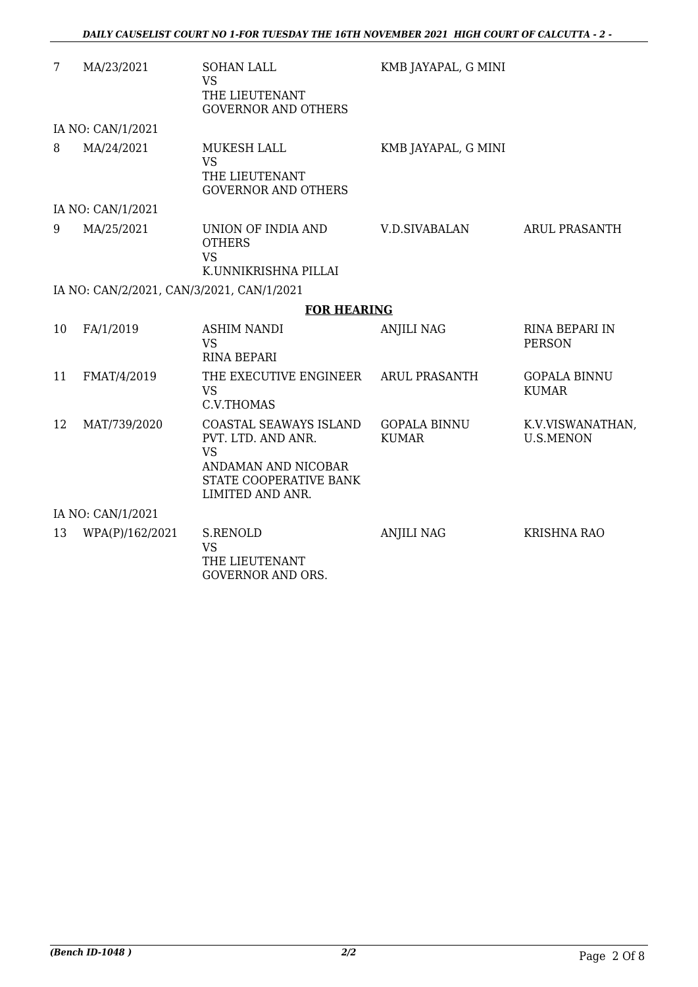| 7  | MA/23/2021                                | <b>SOHAN LALL</b><br><b>VS</b><br>THE LIEUTENANT<br><b>GOVERNOR AND OTHERS</b>                                                 | KMB JAYAPAL, G MINI                 |                                        |
|----|-------------------------------------------|--------------------------------------------------------------------------------------------------------------------------------|-------------------------------------|----------------------------------------|
|    | IA NO: CAN/1/2021                         |                                                                                                                                |                                     |                                        |
| 8  | MA/24/2021                                | MUKESH LALL<br><b>VS</b><br>THE LIEUTENANT<br><b>GOVERNOR AND OTHERS</b>                                                       | KMB JAYAPAL, G MINI                 |                                        |
|    | IA NO: CAN/1/2021                         |                                                                                                                                |                                     |                                        |
| 9  | MA/25/2021                                | UNION OF INDIA AND<br><b>OTHERS</b><br><b>VS</b><br>K.UNNIKRISHNA PILLAI                                                       | V.D.SIVABALAN                       | <b>ARUL PRASANTH</b>                   |
|    | IA NO: CAN/2/2021, CAN/3/2021, CAN/1/2021 |                                                                                                                                |                                     |                                        |
|    |                                           | <b>FOR HEARING</b>                                                                                                             |                                     |                                        |
| 10 | FA/1/2019                                 | <b>ASHIM NANDI</b><br><b>VS</b><br><b>RINA BEPARI</b>                                                                          | <b>ANJILI NAG</b>                   | <b>RINA BEPARI IN</b><br><b>PERSON</b> |
| 11 | FMAT/4/2019                               | THE EXECUTIVE ENGINEER<br><b>VS</b><br>C.V.THOMAS                                                                              | <b>ARUL PRASANTH</b>                | <b>GOPALA BINNU</b><br><b>KUMAR</b>    |
| 12 | MAT/739/2020                              | COASTAL SEAWAYS ISLAND<br>PVT. LTD. AND ANR.<br><b>VS</b><br>ANDAMAN AND NICOBAR<br>STATE COOPERATIVE BANK<br>LIMITED AND ANR. | <b>GOPALA BINNU</b><br><b>KUMAR</b> | K.V.VISWANATHAN,<br><b>U.S.MENON</b>   |
|    | IA NO: CAN/1/2021                         |                                                                                                                                |                                     |                                        |
| 13 | WPA(P)/162/2021                           | <b>S.RENOLD</b><br><b>VS</b><br>THE LIEUTENANT                                                                                 | <b>ANJILI NAG</b>                   | <b>KRISHNA RAO</b>                     |

GOVERNOR AND ORS.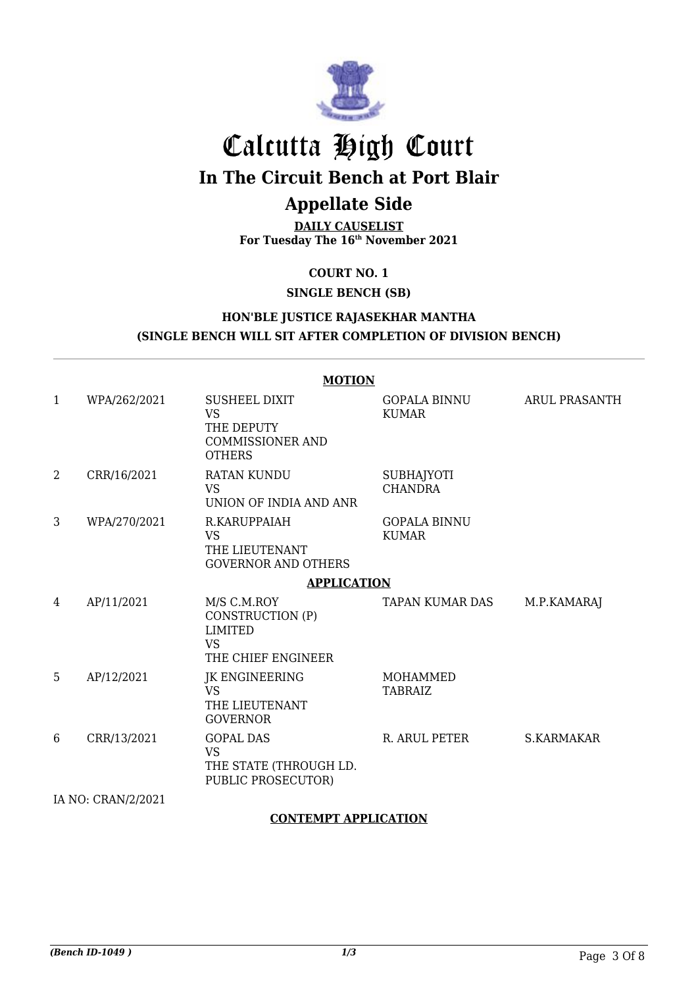

# Calcutta High Court

**In The Circuit Bench at Port Blair**

### **Appellate Side**

**DAILY CAUSELIST For Tuesday The 16th November 2021**

**COURT NO. 1**

**SINGLE BENCH (SB)**

#### **HON'BLE JUSTICE RAJASEKHAR MANTHA (SINGLE BENCH WILL SIT AFTER COMPLETION OF DIVISION BENCH)**

#### **MOTION**

| $\mathbf{1}$ | WPA/262/2021       | <b>SUSHEEL DIXIT</b><br><b>VS</b><br>THE DEPUTY<br><b>COMMISSIONER AND</b><br><b>OTHERS</b> | <b>GOPALA BINNU</b><br><b>KUMAR</b> | <b>ARUL PRASANTH</b> |
|--------------|--------------------|---------------------------------------------------------------------------------------------|-------------------------------------|----------------------|
| 2            | CRR/16/2021        | RATAN KUNDU<br><b>VS</b><br>UNION OF INDIA AND ANR                                          | <b>SUBHAJYOTI</b><br><b>CHANDRA</b> |                      |
| 3            | WPA/270/2021       | R.KARUPPAIAH<br><b>VS</b><br>THE LIEUTENANT<br><b>GOVERNOR AND OTHERS</b>                   | <b>GOPALA BINNU</b><br><b>KUMAR</b> |                      |
|              |                    | <b>APPLICATION</b>                                                                          |                                     |                      |
| 4            | AP/11/2021         | M/S C.M.ROY<br>CONSTRUCTION (P)<br><b>LIMITED</b><br><b>VS</b><br>THE CHIEF ENGINEER        | TAPAN KUMAR DAS                     | M.P.KAMARAJ          |
| 5            | AP/12/2021         | JK ENGINEERING<br><b>VS</b><br>THE LIEUTENANT<br><b>GOVERNOR</b>                            | MOHAMMED<br><b>TABRAIZ</b>          |                      |
| 6            | CRR/13/2021        | <b>GOPAL DAS</b><br><b>VS</b><br>THE STATE (THROUGH LD.<br>PUBLIC PROSECUTOR)               | R. ARUL PETER                       | <b>S.KARMAKAR</b>    |
|              | IA NO: CRAN/2/2021 |                                                                                             |                                     |                      |

#### **CONTEMPT APPLICATION**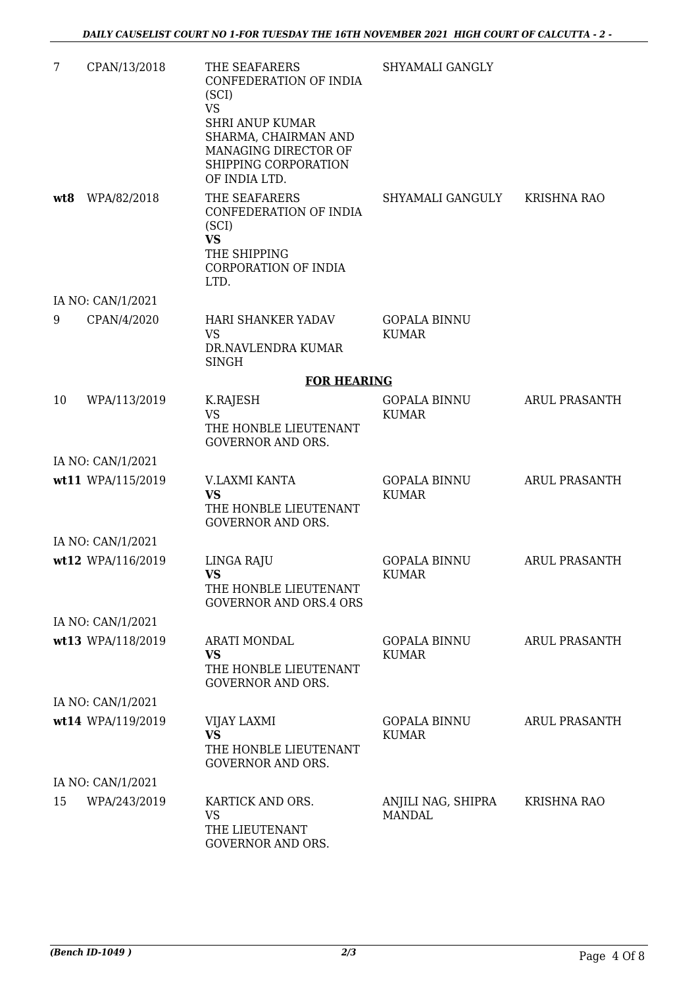| 7   | CPAN/13/2018      | THE SEAFARERS<br>CONFEDERATION OF INDIA<br>(SCI)<br><b>VS</b><br><b>SHRI ANUP KUMAR</b><br>SHARMA, CHAIRMAN AND<br>MANAGING DIRECTOR OF<br>SHIPPING CORPORATION<br>OF INDIA LTD. | SHYAMALI GANGLY                     |                      |
|-----|-------------------|----------------------------------------------------------------------------------------------------------------------------------------------------------------------------------|-------------------------------------|----------------------|
| wt8 | WPA/82/2018       | THE SEAFARERS<br>CONFEDERATION OF INDIA<br>(SCI)<br><b>VS</b><br>THE SHIPPING<br>CORPORATION OF INDIA<br>LTD.                                                                    | SHYAMALI GANGULY                    | <b>KRISHNA RAO</b>   |
|     | IA NO: CAN/1/2021 |                                                                                                                                                                                  |                                     |                      |
| 9   | CPAN/4/2020       | HARI SHANKER YADAV<br>VS.<br>DR.NAVLENDRA KUMAR<br><b>SINGH</b>                                                                                                                  | <b>GOPALA BINNU</b><br><b>KUMAR</b> |                      |
|     |                   | <b>FOR HEARING</b>                                                                                                                                                               |                                     |                      |
| 10  | WPA/113/2019      | K.RAJESH<br><b>VS</b><br>THE HONBLE LIEUTENANT<br><b>GOVERNOR AND ORS.</b>                                                                                                       | <b>GOPALA BINNU</b><br><b>KUMAR</b> | ARUL PRASANTH        |
|     | IA NO: CAN/1/2021 |                                                                                                                                                                                  |                                     |                      |
|     | wt11 WPA/115/2019 | V.LAXMI KANTA<br><b>VS</b><br>THE HONBLE LIEUTENANT<br><b>GOVERNOR AND ORS.</b>                                                                                                  | <b>GOPALA BINNU</b><br><b>KUMAR</b> | <b>ARUL PRASANTH</b> |
|     | IA NO: CAN/1/2021 |                                                                                                                                                                                  |                                     |                      |
|     | wt12 WPA/116/2019 | LINGA RAJU<br><b>VS</b><br>THE HONBLE LIEUTENANT<br><b>GOVERNOR AND ORS.4 ORS</b>                                                                                                | <b>GOPALA BINNU</b><br><b>KUMAR</b> | <b>ARUL PRASANTH</b> |
|     | IA NO: CAN/1/2021 |                                                                                                                                                                                  |                                     |                      |
|     | wt13 WPA/118/2019 | <b>ARATI MONDAL</b><br><b>VS</b><br>THE HONBLE LIEUTENANT<br><b>GOVERNOR AND ORS.</b>                                                                                            | <b>GOPALA BINNU</b><br><b>KUMAR</b> | <b>ARUL PRASANTH</b> |
|     | IA NO: CAN/1/2021 |                                                                                                                                                                                  |                                     |                      |
|     | wt14 WPA/119/2019 | VIJAY LAXMI<br><b>VS</b><br>THE HONBLE LIEUTENANT<br><b>GOVERNOR AND ORS.</b>                                                                                                    | <b>GOPALA BINNU</b><br><b>KUMAR</b> | <b>ARUL PRASANTH</b> |
|     | IA NO: CAN/1/2021 |                                                                                                                                                                                  |                                     |                      |
| 15  | WPA/243/2019      | KARTICK AND ORS.<br><b>VS</b><br>THE LIEUTENANT<br>GOVERNOR AND ORS.                                                                                                             | ANJILI NAG, SHIPRA<br><b>MANDAL</b> | KRISHNA RAO          |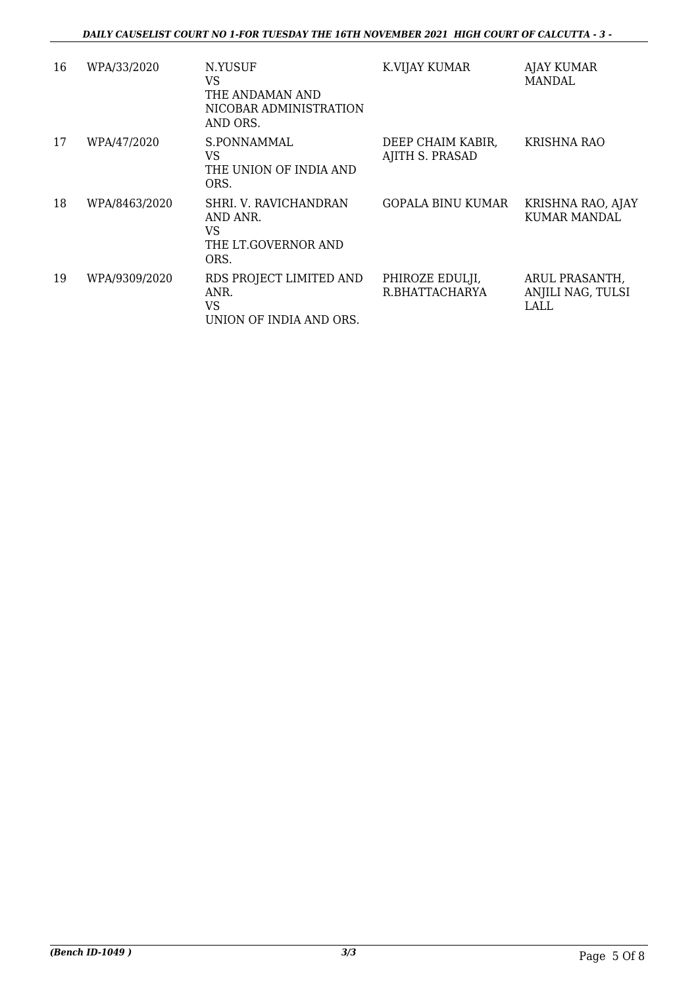#### *DAILY CAUSELIST COURT NO 1-FOR TUESDAY THE 16TH NOVEMBER 2021 HIGH COURT OF CALCUTTA - 3 -*

| 16 | WPA/33/2020   | N.YUSUF<br>VS<br>THE ANDAMAN AND<br>NICOBAR ADMINISTRATION<br>AND ORS. | K.VIJAY KUMAR                        | <b>AJAY KUMAR</b><br>MANDAL                 |
|----|---------------|------------------------------------------------------------------------|--------------------------------------|---------------------------------------------|
| 17 | WPA/47/2020   | S.PONNAMMAL<br>VS.<br>THE UNION OF INDIA AND<br>ORS.                   | DEEP CHAIM KABIR,<br>AJITH S. PRASAD | <b>KRISHNA RAO</b>                          |
| 18 | WPA/8463/2020 | SHRI. V. RAVICHANDRAN<br>AND ANR.<br>VS<br>THE LT.GOVERNOR AND<br>ORS. | GOPALA BINU KUMAR                    | KRISHNA RAO, AJAY<br>KUMAR MANDAL           |
| 19 | WPA/9309/2020 | RDS PROJECT LIMITED AND<br>ANR.<br>VS<br>UNION OF INDIA AND ORS.       | PHIROZE EDULJI,<br>R.BHATTACHARYA    | ARUL PRASANTH,<br>ANJILI NAG, TULSI<br>LALL |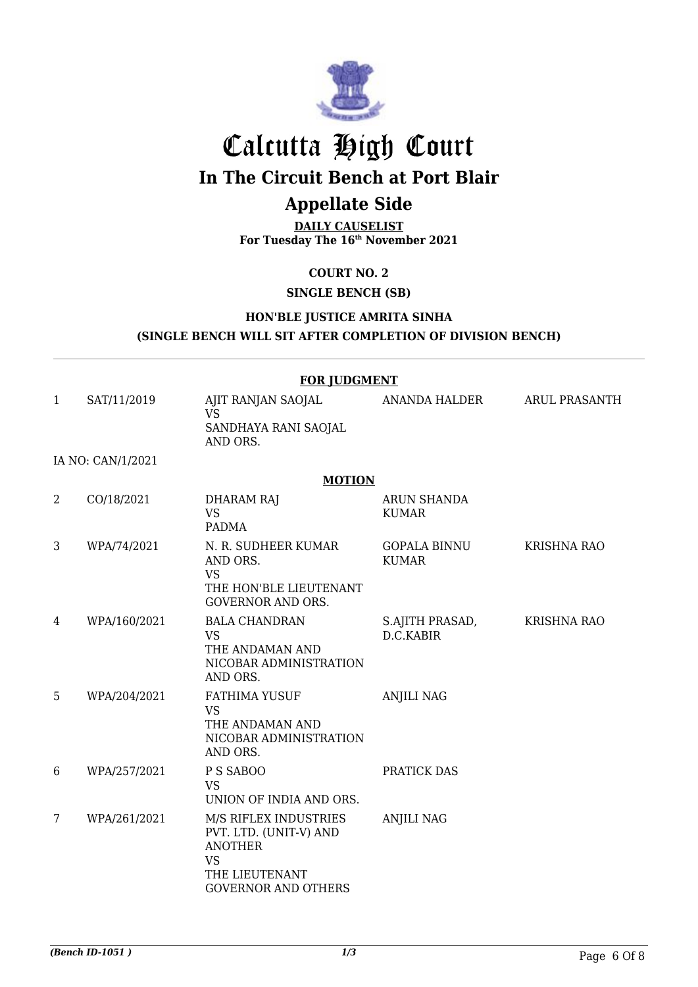

# Calcutta High Court

**In The Circuit Bench at Port Blair**

## **Appellate Side**

**DAILY CAUSELIST For Tuesday The 16th November 2021**

**COURT NO. 2**

#### **SINGLE BENCH (SB)**

#### **HON'BLE JUSTICE AMRITA SINHA (SINGLE BENCH WILL SIT AFTER COMPLETION OF DIVISION BENCH)**

|                |                   | <b>FOR JUDGMENT</b>                                                                                                            |                                     |                      |
|----------------|-------------------|--------------------------------------------------------------------------------------------------------------------------------|-------------------------------------|----------------------|
| $\mathbf{1}$   | SAT/11/2019       | AJIT RANJAN SAOJAL<br><b>VS</b>                                                                                                | ANANDA HALDER                       | <b>ARUL PRASANTH</b> |
|                |                   | SANDHAYA RANI SAOJAL<br>AND ORS.                                                                                               |                                     |                      |
|                | IA NO: CAN/1/2021 |                                                                                                                                |                                     |                      |
|                |                   | <b>MOTION</b>                                                                                                                  |                                     |                      |
| $\overline{2}$ | CO/18/2021        | <b>DHARAM RAJ</b><br><b>VS</b><br><b>PADMA</b>                                                                                 | <b>ARUN SHANDA</b><br><b>KUMAR</b>  |                      |
| 3              | WPA/74/2021       | N. R. SUDHEER KUMAR<br>AND ORS.<br><b>VS</b><br>THE HON'BLE LIEUTENANT<br><b>GOVERNOR AND ORS.</b>                             | <b>GOPALA BINNU</b><br><b>KUMAR</b> | <b>KRISHNA RAO</b>   |
| 4              | WPA/160/2021      | <b>BALA CHANDRAN</b><br><b>VS</b><br>THE ANDAMAN AND<br>NICOBAR ADMINISTRATION<br>AND ORS.                                     | S.AJITH PRASAD,<br>D.C.KABIR        | <b>KRISHNA RAO</b>   |
| 5              | WPA/204/2021      | <b>FATHIMA YUSUF</b><br><b>VS</b><br>THE ANDAMAN AND<br>NICOBAR ADMINISTRATION<br>AND ORS.                                     | <b>ANJILI NAG</b>                   |                      |
| 6              | WPA/257/2021      | P S SABOO<br><b>VS</b><br>UNION OF INDIA AND ORS.                                                                              | PRATICK DAS                         |                      |
| 7              | WPA/261/2021      | M/S RIFLEX INDUSTRIES<br>PVT. LTD. (UNIT-V) AND<br><b>ANOTHER</b><br><b>VS</b><br>THE LIEUTENANT<br><b>GOVERNOR AND OTHERS</b> | <b>ANJILI NAG</b>                   |                      |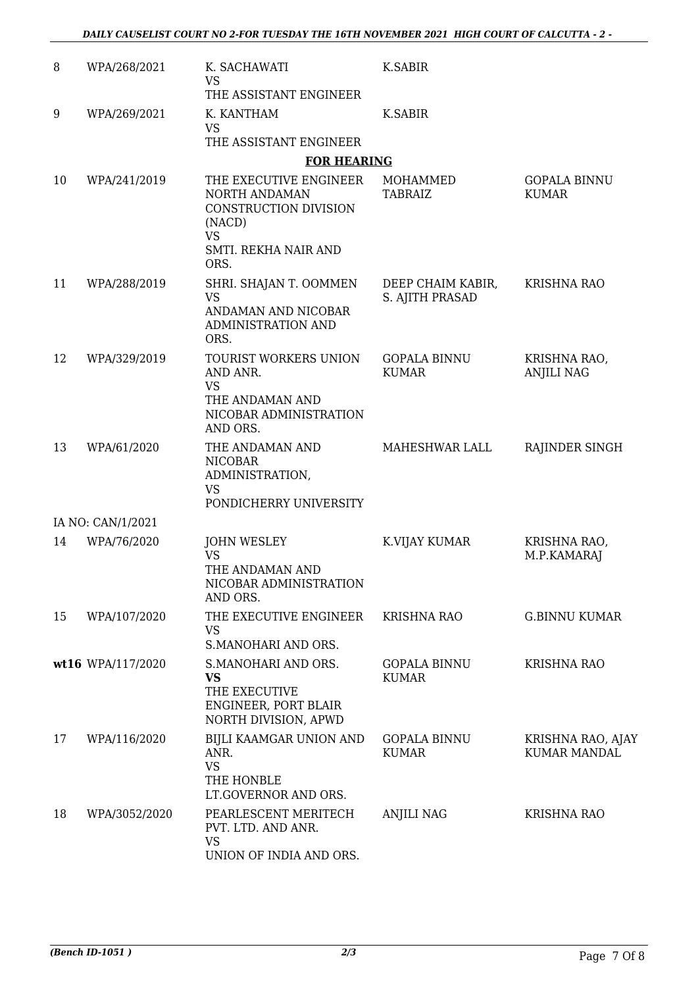| 8  | WPA/268/2021                     | K. SACHAWATI<br><b>VS</b><br>THE ASSISTANT ENGINEER                                                             | K.SABIR                              |                                          |
|----|----------------------------------|-----------------------------------------------------------------------------------------------------------------|--------------------------------------|------------------------------------------|
| 9  | WPA/269/2021                     | K. KANTHAM<br><b>VS</b><br>THE ASSISTANT ENGINEER                                                               | K.SABIR                              |                                          |
|    |                                  | <b>FOR HEARING</b>                                                                                              |                                      |                                          |
| 10 | WPA/241/2019                     | THE EXECUTIVE ENGINEER<br>NORTH ANDAMAN<br>CONSTRUCTION DIVISION<br>(NACD)<br><b>VS</b><br>SMTI. REKHA NAIR AND | MOHAMMED<br><b>TABRAIZ</b>           | <b>GOPALA BINNU</b><br><b>KUMAR</b>      |
|    |                                  | ORS.                                                                                                            |                                      |                                          |
| 11 | WPA/288/2019                     | SHRI. SHAJAN T. OOMMEN<br><b>VS</b><br>ANDAMAN AND NICOBAR<br>ADMINISTRATION AND<br>ORS.                        | DEEP CHAIM KABIR,<br>S. AJITH PRASAD | <b>KRISHNA RAO</b>                       |
| 12 | WPA/329/2019                     | TOURIST WORKERS UNION<br>AND ANR.<br><b>VS</b><br>THE ANDAMAN AND                                               | <b>GOPALA BINNU</b><br><b>KUMAR</b>  | KRISHNA RAO,<br><b>ANJILI NAG</b>        |
|    |                                  | NICOBAR ADMINISTRATION<br>AND ORS.                                                                              |                                      |                                          |
| 13 | WPA/61/2020                      | THE ANDAMAN AND<br><b>NICOBAR</b><br>ADMINISTRATION,<br><b>VS</b>                                               | MAHESHWAR LALL                       | RAJINDER SINGH                           |
|    |                                  | PONDICHERRY UNIVERSITY                                                                                          |                                      |                                          |
| 14 | IA NO: CAN/1/2021<br>WPA/76/2020 | <b>JOHN WESLEY</b>                                                                                              | K.VIJAY KUMAR                        | KRISHNA RAO,                             |
|    |                                  | <b>VS</b><br>THE ANDAMAN AND<br>NICOBAR ADMINISTRATION<br>AND ORS.                                              |                                      | M.P.KAMARAJ                              |
| 15 | WPA/107/2020                     | THE EXECUTIVE ENGINEER<br><b>VS</b><br>S.MANOHARI AND ORS.                                                      | <b>KRISHNA RAO</b>                   | <b>G.BINNU KUMAR</b>                     |
|    | wt16 WPA/117/2020                | S.MANOHARI AND ORS.<br><b>VS</b><br>THE EXECUTIVE<br>ENGINEER, PORT BLAIR<br>NORTH DIVISION, APWD               | <b>GOPALA BINNU</b><br><b>KUMAR</b>  | <b>KRISHNA RAO</b>                       |
| 17 | WPA/116/2020                     | BIJLI KAAMGAR UNION AND<br>ANR.<br><b>VS</b><br>THE HONBLE<br>LT.GOVERNOR AND ORS.                              | <b>GOPALA BINNU</b><br><b>KUMAR</b>  | KRISHNA RAO, AJAY<br><b>KUMAR MANDAL</b> |
| 18 | WPA/3052/2020                    | PEARLESCENT MERITECH<br>PVT. LTD. AND ANR.<br><b>VS</b><br>UNION OF INDIA AND ORS.                              | <b>ANJILI NAG</b>                    | <b>KRISHNA RAO</b>                       |